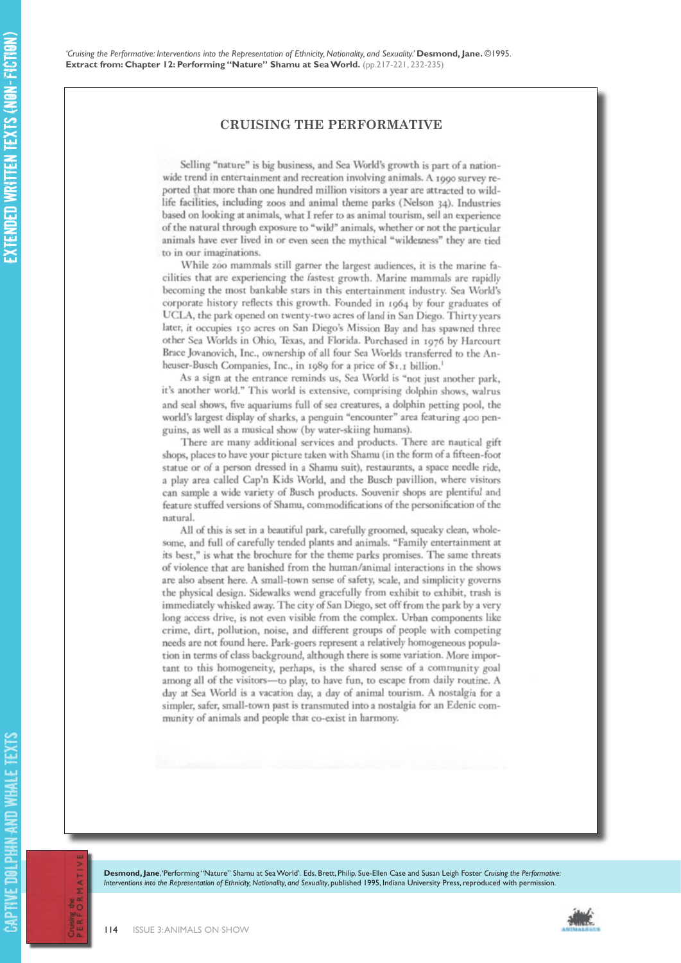captive dolphin and whale texts

VE DOLPHIN AND WHALE TEXTS

## **CRUISING THE PERFORMATIVE**

Selling "nature" is big business, and Sea World's growth is part of a nationwide trend in entertainment and recreation involving animals. A 1990 survey reported that more than one hundred million visitors a year are attracted to wildlife facilities, including zoos and animal theme parks (Nelson 34). Industries based on looking at animals, what I refer to as animal tourism, sell an experience of the natural through exposure to "wild" animals, whether or not the particular animals have ever lived in or even seen the mythical "wilderness" they are tied to in our imaginations.

While zoo mammals still garner the largest audiences, it is the marine facilities that are experiencing the fastest growth. Marine mammals are rapidly becoming the most bankable stars in this entertainment industry. Sea World's corporate history reflects this growth. Founded in 1964 by four graduates of UCLA, the park opened on twenty-two acres of land in San Diego. Thirty years later, it occupies 150 acres on San Diego's Mission Bay and has spawned three other Sea Worlds in Ohio, Texas, and Florida. Purchased in 1976 by Harcourt Brace Jovanovich, Inc., ownership of all four Sea Worlds transferred to the Anheuser-Busch Companies, Inc., in 1989 for a price of \$1.1 billion.

As a sign at the entrance reminds us, Sea World is "not just another park, it's another world." This world is extensive, comprising dolphin shows, walrus and seal shows, five aquariums full of sea creatures, a dolphin petting pool, the world's largest display of sharks, a penguin "encounter" area featuring 400 penguins, as well as a musical show (by water-skiing humans).

There are many additional services and products. There are nautical gift shops, places to have your picture taken with Shamu (in the form of a fifteen-foot statue or of a person dressed in a Shamu suit), restaurants, a space needle ride, a play area called Cap'n Kids World, and the Busch pavillion, where visitors can sample a wide variety of Busch products. Souvenir shops are plentiful and feature stuffed versions of Shamu, commodifications of the personification of the natural.

All of this is set in a beautiful park, carefully groomed, squeaky clean, wholesome, and full of carefully tended plants and animals. "Family entertainment at its best," is what the brochure for the theme parks promises. The same threats of violence that are banished from the human/animal interactions in the shows are also absent here. A small-town sense of safety, scale, and simplicity governs the physical design. Sidewalks wend gracefully from exhibit to exhibit, trash is immediately whisked away. The city of San Diego, set off from the park by a very long access drive, is not even visible from the complex. Urban components like crime, dirt, pollution, noise, and different groups of people with competing needs are not found here. Park-goers represent a relatively homogeneous population in terms of class background, although there is some variation. More important to this homogeneity, perhaps, is the shared sense of a community goal among all of the visitors-to play, to have fun, to escape from daily routine. A day at Sea World is a vacation day, a day of animal tourism. A nostalgia for a simpler, safer, small-town past is transmuted into a nostalgia for an Edenic community of animals and people that co-exist in harmony.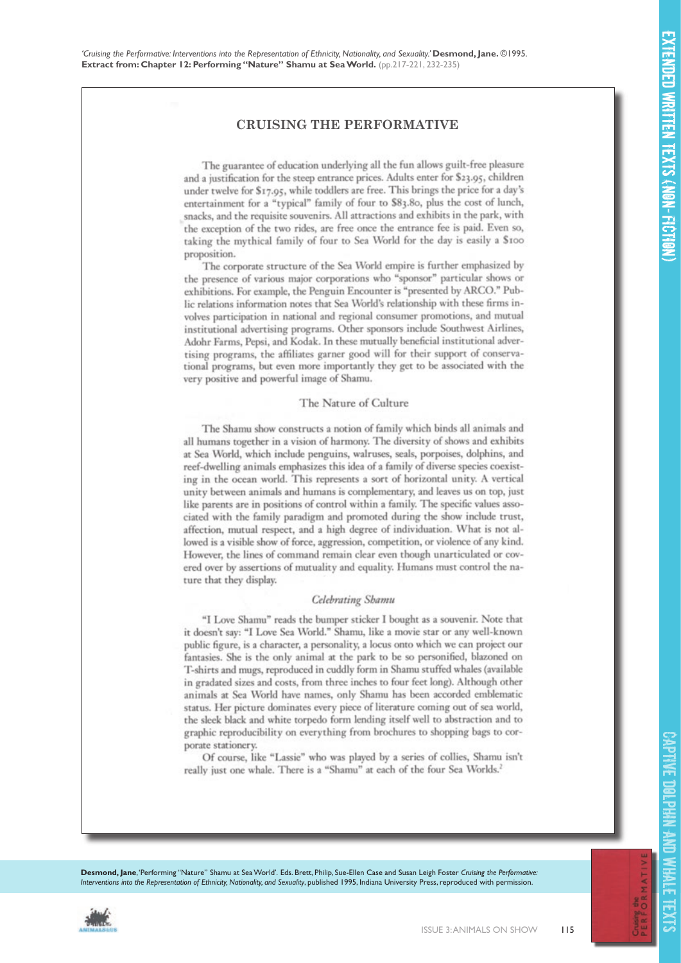# **CRUISING THE PERFORMATIVE**

The guarantee of education underlying all the fun allows guilt-free pleasure and a justification for the steep entrance prices. Adults enter for \$23.95, children under twelve for \$17.95, while toddlers are free. This brings the price for a day's entertainment for a "typical" family of four to \$83.80, plus the cost of lunch, snacks, and the requisite souvenirs. All attractions and exhibits in the park, with the exception of the two rides, are free once the entrance fee is paid. Even so, taking the mythical family of four to Sea World for the day is easily a \$100 proposition.

The corporate structure of the Sea World empire is further emphasized by the presence of various major corporations who "sponsor" particular shows or exhibitions. For example, the Penguin Encounter is "presented by ARCO." Public relations information notes that Sea World's relationship with these firms involves participation in national and regional consumer promotions, and mutual institutional advertising programs. Other sponsors include Southwest Airlines, Adohr Farms, Pepsi, and Kodak. In these mutually beneficial institutional advertising programs, the affiliates garner good will for their support of conservational programs, but even more importantly they get to be associated with the very positive and powerful image of Shamu.

### The Nature of Culture

The Shamu show constructs a notion of family which binds all animals and all humans together in a vision of harmony. The diversity of shows and exhibits at Sea World, which include penguins, walruses, seals, porpoises, dolphins, and reef-dwelling animals emphasizes this idea of a family of diverse species coexisting in the ocean world. This represents a sort of horizontal unity. A vertical unity between animals and humans is complementary, and leaves us on top, just like parents are in positions of control within a family. The specific values associated with the family paradigm and promoted during the show include trust, affection, mutual respect, and a high degree of individuation. What is not allowed is a visible show of force, aggression, competition, or violence of any kind. However, the lines of command remain clear even though unarticulated or covered over by assertions of mutuality and equality. Humans must control the nature that they display.

#### Celebrating Shamu

"I Love Shamu" reads the bumper sticker I bought as a souvenir. Note that it doesn't say: "I Love Sea World." Shamu, like a movie star or any well-known public figure, is a character, a personality, a locus onto which we can project our fantasies. She is the only animal at the park to be so personified, blazoned on T-shirts and mugs, reproduced in cuddly form in Shamu stuffed whales (available in gradated sizes and costs, from three inches to four feet long). Although other animals at Sea World have names, only Shamu has been accorded emblematic status. Her picture dominates every piece of literature coming out of sea world, the sleek black and white torpedo form lending itself well to abstraction and to graphic reproducibility on everything from brochures to shopping bags to corporate stationery.

Of course, like "Lassie" who was played by a series of collies, Shamu isn't really just one whale. There is a "Shamu" at each of the four Sea Worlds.<sup>2</sup>

captive dolphin and whale texts **ONY NAHURE DOLPHAN AND HEXES** 

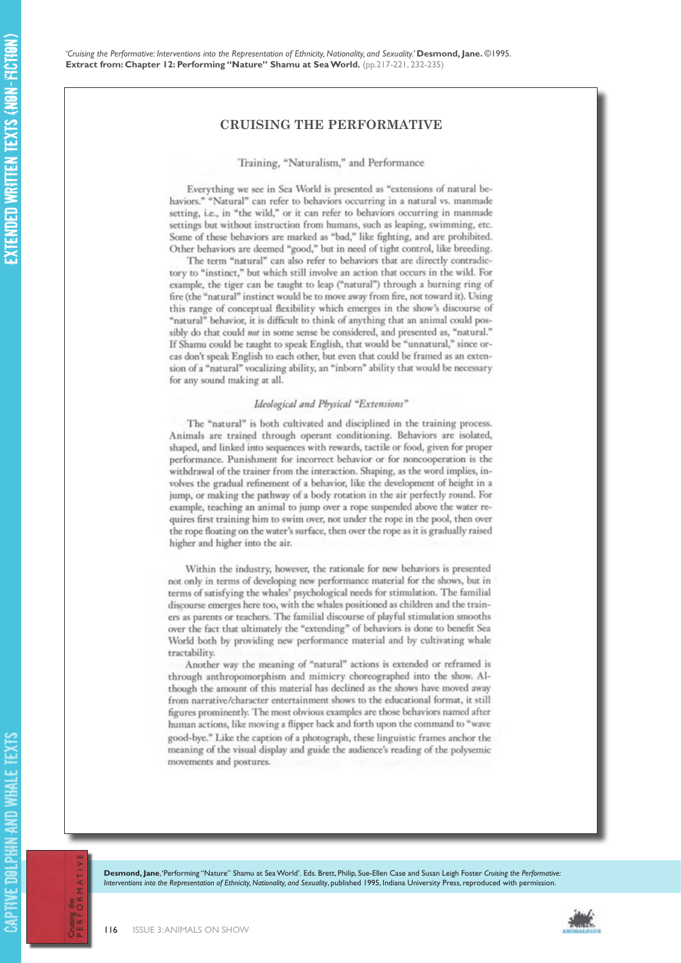### **CRUISING THE PERFORMATIVE**

### Training, "Naturalism," and Performance

Everything we see in Sea World is presented as "extensions of natural behaviors." "Natural" can refer to behaviors occurring in a natural vs. manmade setting, i.e., in "the wild," or it can refer to behaviors occurring in manmade settings but without instruction from humans, such as leaping, swimming, etc. Some of these behaviors are marked as "bad," like fighting, and are prohibited. Other behaviors are deemed "good," but in need of tight control, like breeding.

The term "natural" can also refer to behaviors that are directly contradictory to "instinct," but which still involve an action that occurs in the wild. For example, the tiger can be taught to leap ("natural") through a burning ring of fire (the "natural" instinct would be to move away from fire, not toward it). Using this range of conceptual flexibility which emerges in the show's discourse of "natural" behavior, it is difficult to think of anything that an animal could possibly do that could not in some sense be considered, and presented as, "natural." If Shamu could be taught to speak English, that would be "unnatural," since orcas don't speak English to each other, but even that could be framed as an extension of a "natural" vocalizing ability, an "inborn" ability that would be necessary for any sound making at all.

#### Ideological and Physical "Extensions"

The "natural" is both cultivated and disciplined in the training process. Animals are trained through operant conditioning. Behaviors are isolated, shaped, and linked into sequences with rewards, tactile or food, given for proper performance. Punishment for incorrect behavior or for noncooperation is the withdrawal of the trainer from the interaction. Shaping, as the word implies, involves the gradual refinement of a behavior, like the development of height in a jump, or making the pathway of a body rotation in the air perfectly round. For example, teaching an animal to jump over a rope suspended above the water requires first training him to swim over, not under the rope in the pool, then over the rope floating on the water's surface, then over the rope as it is gradually raised higher and higher into the air.

Within the industry, however, the rationale for new behaviors is presented not only in terms of developing new performance material for the shows, but in terms of satisfying the whales' psychological needs for stimulation. The familial discourse emerges here too, with the whales positioned as children and the trainers as parents or teachers. The familial discourse of playful stimulation smooths over the fact that ultimately the "extending" of behaviors is done to benefit Sea World both by providing new performance material and by cultivating whale tractability.

Another way the meaning of "natural" actions is extended or reframed is through anthropomorphism and mimicry choreographed into the show. Although the amount of this material has declined as the shows have moved away from narrative/character entertainment shows to the educational format, it still figures prominently. The most obvious examples are those behaviors named after human actions, like moving a flipper back and forth upon the command to "wave good-bye." Like the caption of a photograph, these linguistic frames anchor the meaning of the visual display and guide the audience's reading of the polysemic movements and postures.

captive dolphin and whale texts

VE DOLPHAN AND WHALE TEXTS